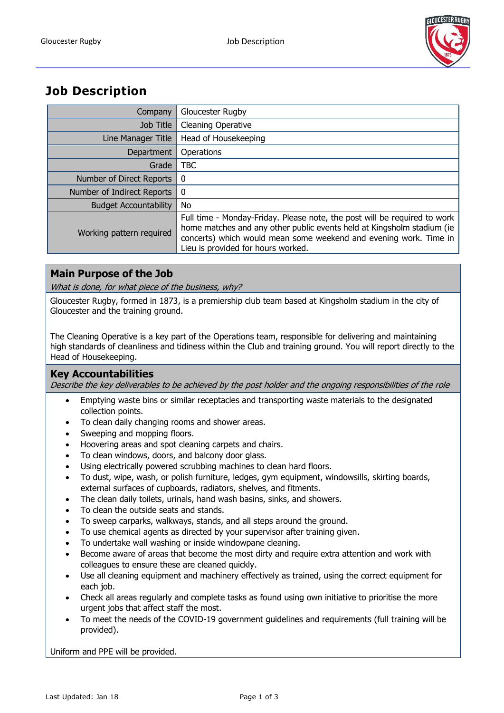

# **Job Description**

| Company                      | Gloucester Rugby                                                                                                                                                                                                                                               |
|------------------------------|----------------------------------------------------------------------------------------------------------------------------------------------------------------------------------------------------------------------------------------------------------------|
| Job Title                    | <b>Cleaning Operative</b>                                                                                                                                                                                                                                      |
| Line Manager Title           | Head of Housekeeping                                                                                                                                                                                                                                           |
| Department                   | Operations                                                                                                                                                                                                                                                     |
| Grade                        | TBC                                                                                                                                                                                                                                                            |
| Number of Direct Reports     | 0                                                                                                                                                                                                                                                              |
| Number of Indirect Reports   | 0                                                                                                                                                                                                                                                              |
| <b>Budget Accountability</b> | No                                                                                                                                                                                                                                                             |
| Working pattern required     | Full time - Monday-Friday. Please note, the post will be required to work<br>home matches and any other public events held at Kingsholm stadium (ie<br>concerts) which would mean some weekend and evening work. Time in<br>Lieu is provided for hours worked. |

## **Main Purpose of the Job**

What is done, for what piece of the business, why?

Gloucester Rugby, formed in 1873, is a premiership club team based at Kingsholm stadium in the city of Gloucester and the training ground.

The Cleaning Operative is a key part of the Operations team, responsible for delivering and maintaining high standards of cleanliness and tidiness within the Club and training ground. You will report directly to the Head of Housekeeping.

## **Key Accountabilities**

Describe the key deliverables to be achieved by the post holder and the ongoing responsibilities of the role

- Emptying waste bins or similar receptacles and transporting waste materials to the designated collection points.
- To clean daily changing rooms and shower areas.
- Sweeping and mopping floors.
- Hoovering areas and spot cleaning carpets and chairs.
- To clean windows, doors, and balcony door glass.
- Using electrically powered scrubbing machines to clean hard floors.
- To dust, wipe, wash, or polish furniture, ledges, gym equipment, windowsills, skirting boards, external surfaces of cupboards, radiators, shelves, and fitments.
- The clean daily toilets, urinals, hand wash basins, sinks, and showers.
- To clean the outside seats and stands.
- To sweep carparks, walkways, stands, and all steps around the ground.
- To use chemical agents as directed by your supervisor after training given.
- To undertake wall washing or inside windowpane cleaning.
- Become aware of areas that become the most dirty and require extra attention and work with colleagues to ensure these are cleaned quickly.
- Use all cleaning equipment and machinery effectively as trained, using the correct equipment for each job.
- Check all areas regularly and complete tasks as found using own initiative to prioritise the more urgent jobs that affect staff the most.
- To meet the needs of the COVID-19 government guidelines and requirements (full training will be provided).

Uniform and PPE will be provided.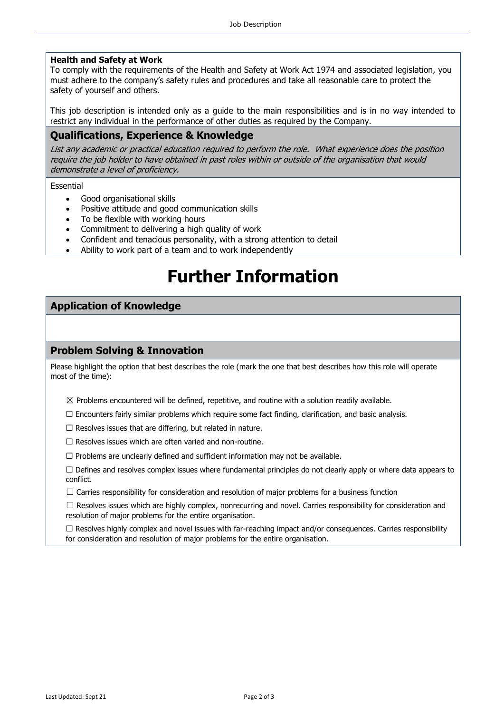#### **Health and Safety at Work**

To comply with the requirements of the Health and Safety at Work Act 1974 and associated legislation, you must adhere to the company's safety rules and procedures and take all reasonable care to protect the safety of yourself and others.

This job description is intended only as a guide to the main responsibilities and is in no way intended to restrict any individual in the performance of other duties as required by the Company.

#### **Qualifications, Experience & Knowledge**

List any academic or practical education required to perform the role. What experience does the position require the job holder to have obtained in past roles within or outside of the organisation that would demonstrate a level of proficiency.

Essential

- Good organisational skills
- Positive attitude and good communication skills
- To be flexible with working hours
- Commitment to delivering a high quality of work
- Confident and tenacious personality, with a strong attention to detail
- Ability to work part of a team and to work independently

# **Further Information**

#### **Application of Knowledge**

#### **Problem Solving & Innovation**

Please highlight the option that best describes the role (mark the one that best describes how this role will operate most of the time):

 $\boxtimes$  Problems encountered will be defined, repetitive, and routine with a solution readily available.

 $\Box$  Encounters fairly similar problems which require some fact finding, clarification, and basic analysis.

 $\Box$  Resolves issues that are differing, but related in nature.

 $\Box$  Resolves issues which are often varied and non-routine.

 $\Box$  Problems are unclearly defined and sufficient information may not be available.

 $\Box$  Defines and resolves complex issues where fundamental principles do not clearly apply or where data appears to conflict.

 $\Box$  Carries responsibility for consideration and resolution of major problems for a business function

 $\Box$  Resolves issues which are highly complex, nonrecurring and novel. Carries responsibility for consideration and resolution of major problems for the entire organisation.

 $\Box$  Resolves highly complex and novel issues with far-reaching impact and/or consequences. Carries responsibility for consideration and resolution of major problems for the entire organisation.